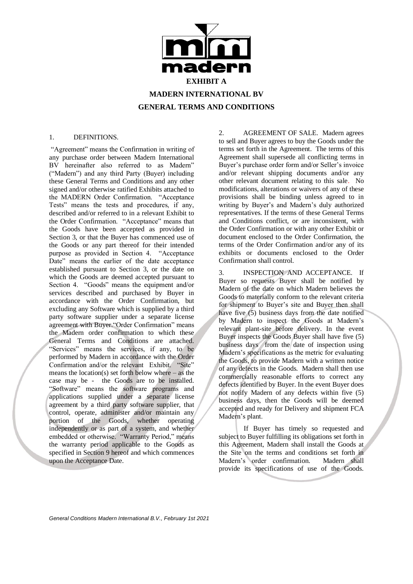

#### 1. DEFINITIONS.

"Agreement" means the Confirmation in writing of any purchase order between Madern International BV hereinafter also referred to as Madern" ("Madern") and any third Party (Buyer) including these General Terms and Conditions and any other signed and/or otherwise ratified Exhibits attached to the MADERN Order Confirmation. "Acceptance Tests" means the tests and procedures, if any, described and/or referred to in a relevant Exhibit to the Order Confirmation. "Acceptance" means that the Goods have been accepted as provided in Section 3, or that the Buyer has commenced use of the Goods or any part thereof for their intended purpose as provided in Section 4. "Acceptance Date" means the earlier of the date acceptance established pursuant to Section 3, or the date on which the Goods are deemed accepted pursuant to Section 4. "Goods" means the equipment and/or services described and purchased by Buyer in accordance with the Order Confirmation, but excluding any Software which is supplied by a third party software supplier under a separate license agreement with Buyer."Order Confirmation" means the Madern order confirmation to which these General Terms and Conditions are attached. "Services" means the services, if any, to be performed by Madern in accordance with the Order Confirmation and/or the relevant Exhibit. "Site" means the location(s) set forth below where – as the case may be - the Goods are to be installed. "Software" means the software programs and applications supplied under a separate license agreement by a third party software supplier, that control, operate, administer and/or maintain any portion of the Goods, whether operating independently or as part of a system, and whether embedded or otherwise. "Warranty Period," means the warranty period applicable to the Goods as specified in Section 9 hereof and which commences upon the Acceptance Date.

2. AGREEMENT OF SALE. Madern agrees to sell and Buyer agrees to buy the Goods under the terms set forth in the Agreement. The terms of this Agreement shall supersede all conflicting terms in Buyer's purchase order form and/or Seller's invoice and/or relevant shipping documents and/or any other relevant document relating to this sale. No modifications, alterations or waivers of any of these provisions shall be binding unless agreed to in writing by Buyer's and Madern's duly authorized representatives. If the terms of these General Terms and Conditions conflict, or are inconsistent, with the Order Confirmation or with any other Exhibit or document enclosed to the Order Confirmation, the terms of the Order Confirmation and/or any of its exhibits or documents enclosed to the Order Confirmation shall control.

3. INSPECTION AND ACCEPTANCE. If Buyer so requests Buyer shall be notified by Madern of the date on which Madern believes the Goods to materially conform to the relevant criteria for shipment to Buyer's site and Buyer then shall have five (5) business days from the date notified by Madern to inspect the Goods at Madern's relevant plant-site before delivery. In the event Buyer inspects the Goods Buyer shall have five (5) business days from the date of inspection using Madern's specifications as the metric for evaluating the Goods, to provide Madern with a written notice of any defects in the Goods. Madern shall then use commercially reasonable efforts to correct any defects identified by Buyer. In the event Buyer does not notify Madern of any defects within five (5) business days, then the Goods will be deemed accepted and ready for Delivery and shipment FCA Madern's plant.

If Buyer has timely so requested and subject to Buyer fulfilling its obligations set forth in this Agreement, Madern shall install the Goods at the Site on the terms and conditions set forth in Madern's order confirmation. Madern shall provide its specifications of use of the Goods.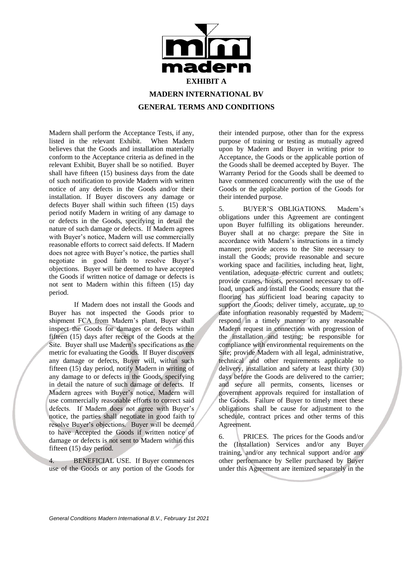

Madern shall perform the Acceptance Tests, if any,<br>listed in the relevant Exhibit. When Madern listed in the relevant Exhibit. believes that the Goods and installation materially conform to the Acceptance criteria as defined in the relevant Exhibit, Buyer shall be so notified. Buyer shall have fifteen (15) business days from the date of such notification to provide Madern with written notice of any defects in the Goods and/or their installation. If Buyer discovers any damage or defects Buyer shall within such fifteen (15) days period notify Madern in writing of any damage to or defects in the Goods, specifying in detail the nature of such damage or defects. If Madern agrees with Buyer's notice, Madern will use commercially reasonable efforts to correct said defects. If Madern does not agree with Buyer's notice, the parties shall negotiate in good faith to resolve Buyer's objections. Buyer will be deemed to have accepted the Goods if written notice of damage or defects is not sent to Madern within this fifteen (15) day period.

If Madern does not install the Goods and Buyer has not inspected the Goods prior to shipment FCA from Madern's plant, Buyer shall inspect the Goods for damages or defects within fifteen (15) days after receipt of the Goods at the Site. Buyer shall use Madern's specifications as the metric for evaluating the Goods. If Buyer discovers any damage or defects, Buyer will, within such fifteen (15) day period, notify Madern in writing of any damage to or defects in the Goods, specifying in detail the nature of such damage or defects. If Madern agrees with Buyer's notice, Madern will use commercially reasonable efforts to correct said defects. If Madern does not agree with Buyer's notice, the parties shall negotiate in good faith to resolve Buyer's objections. Buyer will be deemed to have Accepted the Goods if written notice of damage or defects is not sent to Madern within this fifteen (15) day period.

4. BENEFICIAL USE. If Buyer commences use of the Goods or any portion of the Goods for

their intended purpose, other than for the express purpose of training or testing as mutually agreed upon by Madern and Buyer in writing prior to Acceptance, the Goods or the applicable portion of the Goods shall be deemed accepted by Buyer. The Warranty Period for the Goods shall be deemed to have commenced concurrently with the use of the Goods or the applicable portion of the Goods for their intended purpose.

5. BUYER'S OBLIGATIONS. Madern's obligations under this Agreement are contingent upon Buyer fulfilling its obligations hereunder. Buyer shall at no charge: prepare the Site in accordance with Madern's instructions in a timely manner; provide access to the Site necessary to install the Goods; provide reasonable and secure working space and facilities, including heat, light, ventilation, adequate electric current and outlets; provide cranes, hoists, personnel necessary to offload, unpack and install the Goods; ensure that the flooring has sufficient load bearing capacity to support the Goods; deliver timely, accurate, up to date information reasonably requested by Madern; respond in a timely manner to any reasonable Madern request in connection with progression of the installation and testing; be responsible for compliance with environmental requirements on the Site; provide Madern with all legal, administrative, technical and other requirements applicable to delivery, installation and safety at least thirty (30) days before the Goods are delivered to the carrier; and secure all permits, consents, licenses or government approvals required for installation of the Goods. Failure of Buyer to timely meet these obligations shall be cause for adjustment to the schedule, contract prices and other terms of this Agreement.

6. PRICES. The prices for the Goods and/or the (Installation) Services and/or any Buyer training, and/or any technical support and/or any other performance by Seller purchased by Buyer under this Agreement are itemized separately in the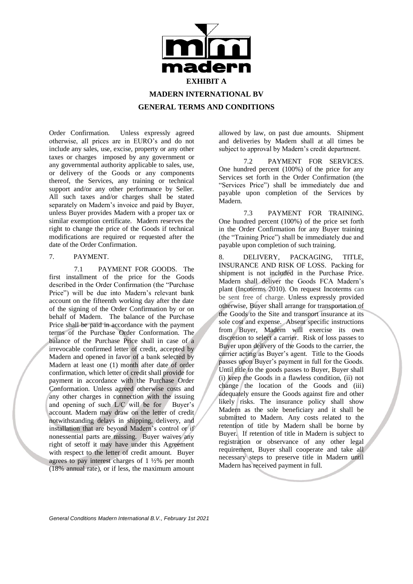

Order Confirmation. Unless expressly agreed otherwise, all prices are in EURO's and do not include any sales, use, excise, property or any other taxes or charges imposed by any government or any governmental authority applicable to sales, use, or delivery of the Goods or any components thereof, the Services, any training or technical support and/or any other performance by Seller. All such taxes and/or charges shall be stated separately on Madern's invoice and paid by Buyer, unless Buyer provides Madern with a proper tax or similar exemption certificate. Madern reserves the right to change the price of the Goods if technical modifications are required or requested after the date of the Order Confirmation.

## 7. PAYMENT.

7.1 PAYMENT FOR GOODS. The first installment of the price for the Goods described in the Order Confirmation (the "Purchase Price") will be due into Madern's relevant bank account on the fifteenth working day after the date of the signing of the Order Confirmation by or on behalf of Madern. The balance of the Purchase Price shall be paid in accordance with the payment terms of the Purchase Order Conformation. The balance of the Purchase Price shall in case of a irrevocable confirmed letter of credit, accepted by Madern and opened in favor of a bank selected by Madern at least one (1) month after date of order confirmation, which letter of credit shall provide for payment in accordance with the Purchase Order Conformation. Unless agreed otherwise costs and any other charges in connection with the issuing and opening of such L/C will be for Buyer's account. Madern may draw on the letter of credit notwithstanding delays in shipping, delivery, and installation that are beyond Madern's control or if nonessential parts are missing. Buyer waives any right of setoff it may have under this Agreement with respect to the letter of credit amount. Buyer agrees to pay interest charges of  $1\frac{1}{2}\%$  per month (18% annual rate), or if less, the maximum amount

allowed by law, on past due amounts. Shipment and deliveries by Madern shall at all times be subject to approval by Madern's credit department.

7.2 PAYMENT FOR SERVICES. One hundred percent (100%) of the price for any Services set forth in the Order Confirmation (the "Services Price") shall be immediately due and payable upon completion of the Services by Madern.

7.3 PAYMENT FOR TRAINING. One hundred percent (100%) of the price set forth in the Order Confirmation for any Buyer training (the "Training Price") shall be immediately due and payable upon completion of such training.

8. DELIVERY, PACKAGING, TITLE, INSURANCE AND RISK OF LOSS. Packing for shipment is not included in the Purchase Price. Madern shall deliver the Goods FCA Madern's plant (Incoterms 2010). On request Incoterms can be sent free of charge. Unless expressly provided otherwise, Buyer shall arrange for transportation of the Goods to the Site and transport insurance at its sole cost and expense. Absent specific instructions from Buyer, Madern will exercise its own discretion to select a carrier. Risk of loss passes to Buyer upon delivery of the Goods to the carrier, the carrier acting as Buyer's agent. Title to the Goods passes upon Buyer's payment in full for the Goods. Until title to the goods passes to Buyer, Buyer shall (i) keep the Goods in a flawless condition, (ii) not change the location of the Goods and (iii) adequately ensure the Goods against fire and other likely risks. The insurance policy shall show Madern as the sole beneficiary and it shall be submitted to Madern. Any costs related to the retention of title by Madern shall be borne by Buyer. If retention of title in Madern is subject to registration or observance of any other legal requirement, Buyer shall cooperate and take all necessary steps to preserve title in Madern until Madern has received payment in full.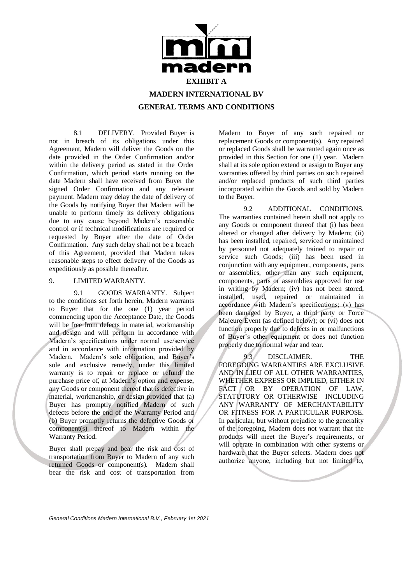

8.1 DELIVERY. Provided Buyer is not in breach of its obligations under this Agreement, Madern will deliver the Goods on the date provided in the Order Confirmation and/or within the delivery period as stated in the Order Confirmation, which period starts running on the date Madern shall have received from Buyer the signed Order Confirmation and any relevant payment. Madern may delay the date of delivery of the Goods by notifying Buyer that Madern will be unable to perform timely its delivery obligations due to any cause beyond Madern's reasonable control or if technical modifications are required or requested by Buyer after the date of Order Confirmation. Any such delay shall not be a breach of this Agreement, provided that Madern takes reasonable steps to effect delivery of the Goods as expeditiously as possible thereafter.

#### 9. LIMITED WARRANTY.

9.1 GOODS WARRANTY. Subject to the conditions set forth herein, Madern warrants to Buyer that for the one (1) year period commencing upon the Acceptance Date, the Goods will be free from defects in material, workmanship and design and will perform in accordance with Madern's specifications under normal use/service and in accordance with information provided by Madern. Madern's sole obligation, and Buyer's sole and exclusive remedy, under this limited warranty is to repair or replace or refund the purchase price of, at Madern's option and expense, any Goods or component thereof that is defective in material, workmanship, or design provided that (a) Buyer has promptly notified Madern of such defects before the end of the Warranty Period and (b) Buyer promptly returns the defective Goods or component(s) thereof to Madern within the Warranty Period.

Buyer shall prepay and bear the risk and cost of transportation from Buyer to Madern of any such returned Goods or component(s). Madern shall bear the risk and cost of transportation from

Madern to Buyer of any such repaired or replacement Goods or component(s). Any repaired or replaced Goods shall be warranted again once as provided in this Section for one (1) year. Madern shall at its sole option extend or assign to Buyer any warranties offered by third parties on such repaired and/or replaced products of such third parties incorporated within the Goods and sold by Madern to the Buyer.

9.2 ADDITIONAL CONDITIONS. The warranties contained herein shall not apply to any Goods or component thereof that (i) has been altered or changed after delivery by Madern; (ii) has been installed, repaired, serviced or maintained by personnel not adequately trained to repair or service such Goods; (iii) has been used in conjunction with any equipment, components, parts or assemblies, other than any such equipment, components, parts or assemblies approved for use in writing by Madern; (iv) has not been stored, installed, used, repaired or maintained in accordance with Madern's specifications; (v) has been damaged by Buyer, a third party or Force Majeure Event (as defined below); or (vi) does not function properly due to defects in or malfunctions of Buyer's other equipment or does not function properly due to normal wear and tear.

9.3 DISCLAIMER. THE FOREGOING WARRANTIES ARE EXCLUSIVE AND IN LIEU OF ALL OTHER WARRANTIES, WHETHER EXPRESS OR IMPLIED, EITHER IN FACT OR BY OPERATION OF LAW, STATUTORY OR OTHERWISE INCLUDING ANY WARRANTY OF MERCHANTABILITY OR FITNESS FOR A PARTICULAR PURPOSE. In particular, but without prejudice to the generality of the foregoing, Madern does not warrant that the products will meet the Buyer's requirements, or will operate in combination with other systems or hardware that the Buyer selects. Madern does not authorize anyone, including but not limited to,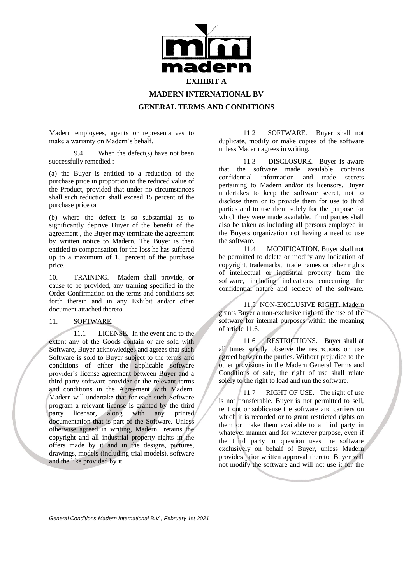

# **MADERN INTERNATIONAL BV**

## **GENERAL TERMS AND CONDITIONS**

Madern employees, agents or representatives to make a warranty on Madern's behalf.

9.4 When the defect(s) have not been successfully remedied :

(a) the Buyer is entitled to a reduction of the purchase price in proportion to the reduced value of the Product, provided that under no circumstances shall such reduction shall exceed 15 percent of the purchase price or

(b) where the defect is so substantial as to significantly deprive Buyer of the benefit of the agreement , the Buyer may terminate the agreement by written notice to Madern. The Buyer is then entitled to compensation for the loss he has suffered up to a maximum of 15 percent of the purchase price.

10. TRAINING. Madern shall provide, or cause to be provided, any training specified in the Order Confirmation on the terms and conditions set forth therein and in any Exhibit and/or other document attached thereto.

#### 11. SOFTWARE.

11.1 LICENSE. In the event and to the extent any of the Goods contain or are sold with Software, Buyer acknowledges and agrees that such Software is sold to Buyer subject to the terms and conditions of either the applicable software provider's license agreement between Buyer and a third party software provider or the relevant terms and conditions in the Agreement with Madern. Madern will undertake that for each such Software program a relevant license is granted by the third<br>party licensor, along with any printed licensor, along with any printed documentation that is part of the Software. Unless otherwise agreed in writing, Madern retains the copyright and all industrial property rights in the offers made by it and in the designs, pictures, drawings, models (including trial models), software and the like provided by it.

11.2 SOFTWARE. Buyer shall not duplicate, modify or make copies of the software unless Madern agrees in writing.

11.3 DISCLOSURE. Buyer is aware that the software made available contains confidential information and trade secrets pertaining to Madern and/or its licensors. Buyer undertakes to keep the software secret, not to disclose them or to provide them for use to third parties and to use them solely for the purpose for which they were made available. Third parties shall also be taken as including all persons employed in the Buyers organization not having a need to use the software.

11.4 MODIFICATION. Buyer shall not be permitted to delete or modify any indication of copyright, trademarks, trade names or other rights of intellectual or industrial property from the software, including indications concerning the confidential nature and secrecy of the software.

11.5 NON-EXCLUSIVE RIGHT. Madern grants Buyer a non-exclusive right to the use of the software for internal purposes within the meaning of article 11.6.

11.6 RESTRICTIONS. Buyer shall at all times strictly observe the restrictions on use agreed between the parties. Without prejudice to the other provisions in the Madern General Terms and Conditions of sale, the right of use shall relate solely to the right to load and run the software.

11.7 RIGHT OF USE. The right of use is not transferable. Buyer is not permitted to sell, rent out or sublicense the software and carriers on which it is recorded or to grant restricted rights on them or make them available to a third party in whatever manner and for whatever purpose, even if the third party in question uses the software exclusively on behalf of Buyer, unless Madern provides prior written approval thereto. Buyer will not modify the software and will not use it for the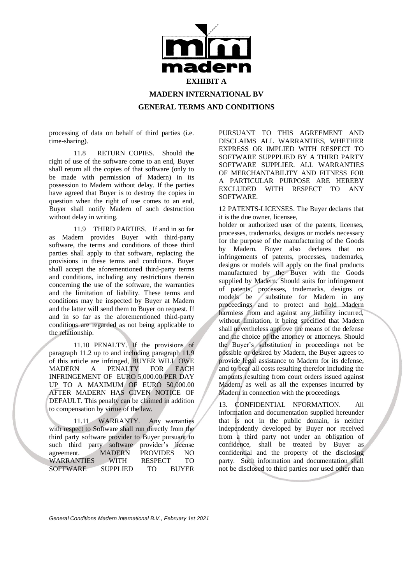

**MADERN INTERNATIONAL BV**

**GENERAL TERMS AND CONDITIONS**

processing of data on behalf of third parties (i.e. time-sharing).

11.8 RETURN COPIES. Should the right of use of the software come to an end, Buyer shall return all the copies of that software (only to be made with permission of Madern) in its possession to Madern without delay. If the parties have agreed that Buyer is to destroy the copies in question when the right of use comes to an end, Buyer shall notify Madern of such destruction without delay in writing.

 11.9 THIRD PARTIES. If and in so far as Madern provides Buyer with third-party software, the terms and conditions of those third parties shall apply to that software, replacing the provisions in these terms and conditions. Buyer shall accept the aforementioned third-party terms and conditions, including any restrictions therein concerning the use of the software, the warranties and the limitation of liability. These terms and conditions may be inspected by Buyer at Madern and the latter will send them to Buyer on request. If and in so far as the aforementioned third-party conditions are regarded as not being applicable to the relationship.

11.10 PENALTY. If the provisions of paragraph 11.2 up to and including paragraph 11.9 of this article are infringed, BUYER WILL OWE MADERN A PENALTY FOR EACH INFRINGEMENT OF EURO 5,000.00 PER DAY UP TO A MAXIMUM OF EURO 50,000.00 AFTER MADERN HAS GIVEN NOTICE OF DEFAULT. This penalty can be claimed in addition to compensation by virtue of the law.

11.11 WARRANTY. Any warranties with respect to Software shall run directly from the third party software provider to Buyer pursuant to such third party software provider's license<br>agreement. MADERN PROVIDES NO agreement. MADERN PROVIDES NO<br>WARRANTIES WITH RESPECT TO WARRANTIES WITH RESPECT TO SOFTWARE SUPPLIED TO BUYER

PURSUANT TO THIS AGREEMENT AND DISCLAIMS ALL WARRANTIES, WHETHER EXPRESS OR IMPLIED WITH RESPECT TO SOFTWARE SUPPPLIED BY A THIRD PARTY SOFTWARE SUPPLIER. ALL WARRANTIES OF MERCHANTABILITY AND FITNESS FOR A PARTICULAR PURPOSE ARE HEREBY EXCLUDED WITH RESPECT TO ANY SOFTWARE.

12 PATENTS-LICENSES. The Buyer declares that it is the due owner, licensee,

holder or authorized user of the patents, licenses, processes, trademarks, designs or models necessary for the purpose of the manufacturing of the Goods by Madern. Buyer also declares that no infringements of patents, processes, trademarks, designs or models will apply on the final products manufactured by the Buyer with the Goods supplied by Madern. Should suits for infringement of patents, processes, trademarks, designs or models be substitute for Madern in any proceedings and to protect and hold Madern harmless from and against any liability incurred, without limitation, it being specified that Madern shall nevertheless approve the means of the defense and the choice of the attorney or attorneys. Should the Buyer's substitution in proceedings not be possible or desired by Madern, the Buyer agrees to provide legal assistance to Madern for its defense, and to bear all costs resulting therefor including the amounts resulting from court orders issued against Madern, as well as all the expenses incurred by Madern in connection with the proceedings.

13. CONFIDENTIAL NFORMATION. All information and documentation supplied hereunder that is not in the public domain, is neither independently developed by Buyer nor received from a third party not under an obligation of confidence, shall be treated by Buyer as confidential and the property of the disclosing party. Such information and documentation shall not be disclosed to third parties nor used other than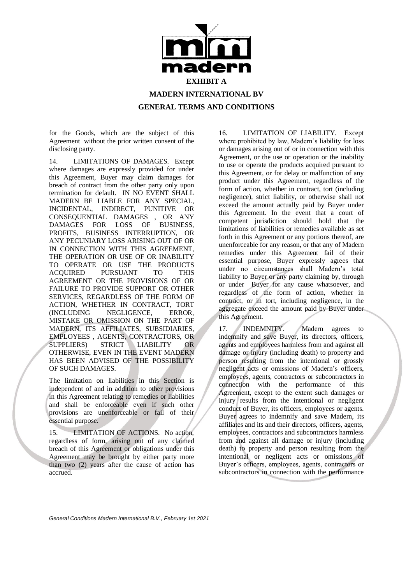

for the Goods, which are the subject of this Agreement without the prior written consent of the disclosing party.

14. LIMITATIONS OF DAMAGES. Except where damages are expressly provided for under this Agreement, Buyer may claim damages for breach of contract from the other party only upon termination for default. IN NO EVENT SHALL MADERN BE LIABLE FOR ANY SPECIAL, INCIDENTAL, INDIRECT, PUNITIVE OR CONSEQUENTIAL DAMAGES , OR ANY DAMAGES FOR LOSS OF BUSINESS. DAMAGES FOR LOSS PROFITS, BUSINESS INTERRUPTION, OR ANY PECUNIARY LOSS ARISING OUT OF OR IN CONNECTION WITH THIS AGREEMENT, THE OPERATION OR USE OF OR INABILITY TO OPERATE OR USE THE PRODUCTS ACQUIRED PURSUANT TO THIS AGREEMENT OR THE PROVISIONS OF OR FAILURE TO PROVIDE SUPPORT OR OTHER SERVICES, REGARDLESS OF THE FORM OF ACTION, WHETHER IN CONTRACT, TORT (INCLUDING NEGLIGENCE, ERROR, MISTAKE OR OMISSION ON THE PART OF MADERN, ITS AFFILIATES, SUBSIDIARIES, EMPLOYEES , AGENTS, CONTRACTORS, OR SUPPLIERS) STRICT LIABILITY OR OTHERWISE, EVEN IN THE EVENT MADERN HAS BEEN ADVISED OF THE POSSIBILITY OF SUCH DAMAGES.

The limitation on liabilities in this Section is independent of and in addition to other provisions in this Agreement relating to remedies or liabilities and shall be enforceable even if such other provisions are unenforceable or fail of their essential purpose.

15. LIMITATION OF ACTIONS. No action, regardless of form, arising out of any claimed breach of this Agreement or obligations under this Agreement may be brought by either party more than two (2) years after the cause of action has accrued.

16. LIMITATION OF LIABILITY. Except where prohibited by law, Madern's liability for loss or damages arising out of or in connection with this Agreement, or the use or operation or the inability to use or operate the products acquired pursuant to this Agreement, or for delay or malfunction of any product under this Agreement, regardless of the form of action, whether in contract, tort (including negligence), strict liability, or otherwise shall not exceed the amount actually paid by Buyer under this Agreement. In the event that a court of competent jurisdiction should hold that the limitations of liabilities or remedies available as set forth in this Agreement or any portions thereof, are unenforceable for any reason, or that any of Madern remedies under this Agreement fail of their essential purpose, Buyer expressly agrees that under no circumstances shall Madern's total liability to Buyer or any party claiming by, through or under Buyer for any cause whatsoever, and regardless of the form of action, whether in contract, or in tort, including negligence, in the aggregate exceed the amount paid by Buyer under this Agreement.

17. **INDEMNITY.** Madern agrees to indemnify and save Buyer, its directors, officers, agents and employees harmless from and against all damage or injury (including death) to property and person resulting from the intentional or grossly negligent acts or omissions of Madern's officers, employees, agents, contractors or subcontractors in connection with the performance of this Agreement, except to the extent such damages or injury results from the intentional or negligent conduct of Buyer, its officers, employees or agents. Buyer agrees to indemnify and save Madern, its affiliates and its and their directors, officers, agents, employees, contractors and subcontractors harmless from and against all damage or injury (including death) to property and person resulting from the intentional or negligent acts or omissions of Buyer's officers, employees, agents, contractors or subcontractors in connection with the performance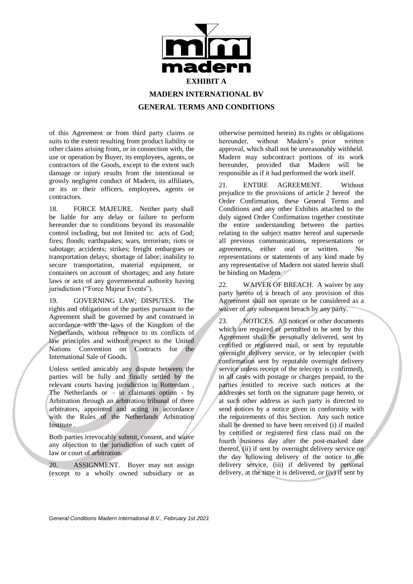

of this Agreement or from third party claims or suits to the extent resulting from product liability or other claims arising from, or in connection with, the use or operation by Buyer, its employees, agents, or contractors of the Goods, except to the extent such damage or injury results from the intentional or grossly negligent conduct of Madern, its affiliates, or its or their officers, employees, agents or contractors.

18. FORCE MAJEURE. Neither party shall be liable for any delay or failure to perform hereunder due to conditions beyond its reasonable control including, but not limited to: acts of God; fires; floods; earthquakes; wars, terrorism; riots or sabotage; accidents; strikes; freight embargoes or transportation delays; shortage of labor; inability to secure transportation, material equipment, or containers on account of shortages; and any future laws or acts of any governmental authority having jurisdiction ("Force Majeur Events").

19. GOVERNING LAW; DISPUTES. The rights and obligations of the parties pursuant to the Agreement shall be governed by and construed in accordance with the laws of the Kingdom of the Netherlands, without reference to its conflicts of law principles and without respect to the United Nations Convention on Contracts for the International Sale of Goods.

Unless settled amicably any dispute between the parties will be fully and finally settled by the relevant courts having jurisdiction in Rotterdam , The Netherlands or – in claimants option - by Arbitration through an arbitration tribunal of three arbitrators, appointed and acting in accordance with the Rules of the Netherlands Arbitration Institute .

Both parties irrevocably submit, consent, and waive any objection to the jurisdiction of such court of law or court of arbitration.

20. ASSIGNMENT. Buyer may not assign (except to a wholly owned subsidiary or as

otherwise permitted herein) its rights or obligations hereunder, without Madern's prior written approval, which shall not be unreasonably withheld. Madern may subcontract portions of its work hereunder, provided that Madern will be responsible as if it had performed the work itself.

21. ENTIRE AGREEMENT. Without prejudice to the provisions of article 2 hereof the Order Confirmation, these General Terms and Conditions and any other Exhibits attached to the duly signed Order Confirmation together constitute the entire understanding between the parties relating to the subject matter hereof and supersede all previous communications, representations or agreements, either oral or written. No representations or statements of any kind made by any representative of Madern not stated herein shall be binding on Madern.

22. WAIVER OF BREACH. A waiver by any party hereto of a breach of any provision of this Agreement shall not operate or be considered as a waiver of any subsequent breach by any party.

23. NOTICES. All notices or other documents which are required or permitted to be sent by this Agreement shall be personally delivered, sent by certified or registered mail, or sent by reputable overnight delivery service, or by telecopier (with confirmation sent by reputable overnight delivery service unless receipt of the telecopy is confirmed), in all cases with postage or charges prepaid, to the parties entitled to receive such notices at the addresses set forth on the signature page hereto, or at such other address as such party is directed to send notices by a notice given in conformity with the requirements of this Section. Any such notice shall be deemed to have been received (i) if mailed by certified or registered first class mail on the fourth business day after the post-marked date thereof, (ii) if sent by overnight delivery service on the day following delivery of the notice to the delivery service, (iii) if delivered by personal delivery, at the time it is delivered, or (iv) if sent by